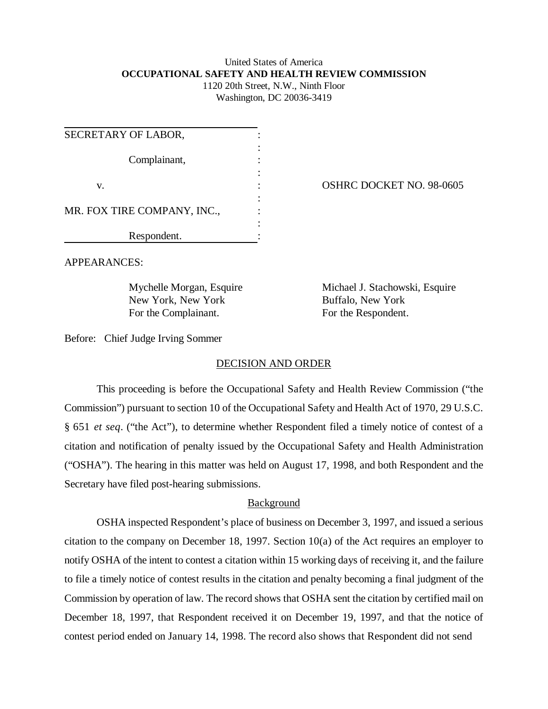# United States of America **OCCUPATIONAL SAFETY AND HEALTH REVIEW COMMISSION** 1120 20th Street, N.W., Ninth Floor

Washington, DC 20036-3419

| SECRETARY OF LABOR,         |  |
|-----------------------------|--|
| Complainant,                |  |
| V.                          |  |
| MR. FOX TIRE COMPANY, INC., |  |
| Respondent.                 |  |

OSHRC DOCKET NO. 98-0605

APPEARANCES:

New York, New York Buffalo, New York For the Complainant. For the Respondent.

Mychelle Morgan, Esquire Michael J. Stachowski, Esquire

Before: Chief Judge Irving Sommer

### DECISION AND ORDER

This proceeding is before the Occupational Safety and Health Review Commission ("the Commission") pursuant to section 10 of the Occupational Safety and Health Act of 1970, 29 U.S.C. § 651 *et seq*. ("the Act"), to determine whether Respondent filed a timely notice of contest of a citation and notification of penalty issued by the Occupational Safety and Health Administration ("OSHA"). The hearing in this matter was held on August 17, 1998, and both Respondent and the Secretary have filed post-hearing submissions.

## Background

OSHA inspected Respondent's place of business on December 3, 1997, and issued a serious citation to the company on December 18, 1997. Section 10(a) of the Act requires an employer to notify OSHA of the intent to contest a citation within 15 working days of receiving it, and the failure to file a timely notice of contest results in the citation and penalty becoming a final judgment of the Commission by operation of law. The record shows that OSHA sent the citation by certified mail on December 18, 1997, that Respondent received it on December 19, 1997, and that the notice of contest period ended on January 14, 1998. The record also shows that Respondent did not send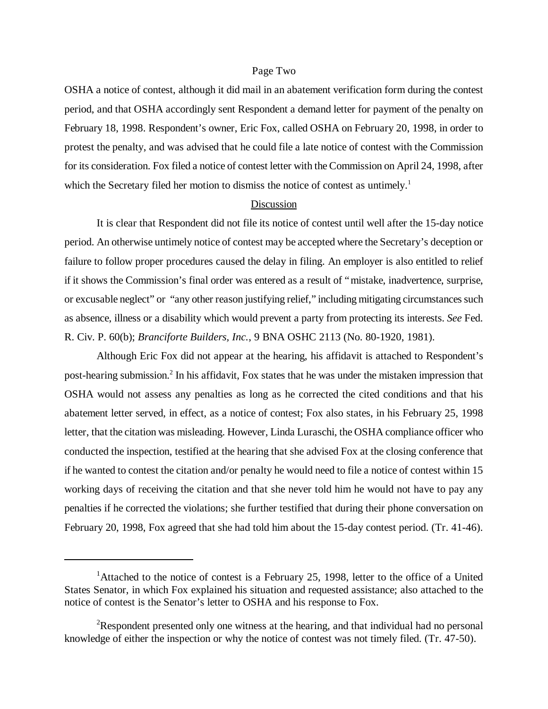### Page Two

OSHA a notice of contest, although it did mail in an abatement verification form during the contest period, and that OSHA accordingly sent Respondent a demand letter for payment of the penalty on February 18, 1998. Respondent's owner, Eric Fox, called OSHA on February 20, 1998, in order to protest the penalty, and was advised that he could file a late notice of contest with the Commission for its consideration. Fox filed a notice of contest letter with the Commission on April 24, 1998, after which the Secretary filed her motion to dismiss the notice of contest as untimely.<sup>1</sup>

#### Discussion

It is clear that Respondent did not file its notice of contest until well after the 15-day notice period. An otherwise untimely notice of contest may be accepted where the Secretary's deception or failure to follow proper procedures caused the delay in filing. An employer is also entitled to relief if it shows the Commission's final order was entered as a result of "mistake, inadvertence, surprise, or excusable neglect" or "any other reason justifying relief," including mitigating circumstances such as absence, illness or a disability which would prevent a party from protecting its interests. *See* Fed. R. Civ. P. 60(b); *Branciforte Builders, Inc.*, 9 BNA OSHC 2113 (No. 80-1920, 1981).

Although Eric Fox did not appear at the hearing, his affidavit is attached to Respondent's post-hearing submission.<sup>2</sup> In his affidavit, Fox states that he was under the mistaken impression that OSHA would not assess any penalties as long as he corrected the cited conditions and that his abatement letter served, in effect, as a notice of contest; Fox also states, in his February 25, 1998 letter, that the citation was misleading. However, Linda Luraschi, the OSHA compliance officer who conducted the inspection, testified at the hearing that she advised Fox at the closing conference that if he wanted to contest the citation and/or penalty he would need to file a notice of contest within 15 working days of receiving the citation and that she never told him he would not have to pay any penalties if he corrected the violations; she further testified that during their phone conversation on February 20, 1998, Fox agreed that she had told him about the 15-day contest period. (Tr. 41-46).

<sup>&</sup>lt;sup>1</sup>Attached to the notice of contest is a February 25, 1998, letter to the office of a United States Senator, in which Fox explained his situation and requested assistance; also attached to the notice of contest is the Senator's letter to OSHA and his response to Fox.

<sup>&</sup>lt;sup>2</sup>Respondent presented only one witness at the hearing, and that individual had no personal knowledge of either the inspection or why the notice of contest was not timely filed. (Tr. 47-50).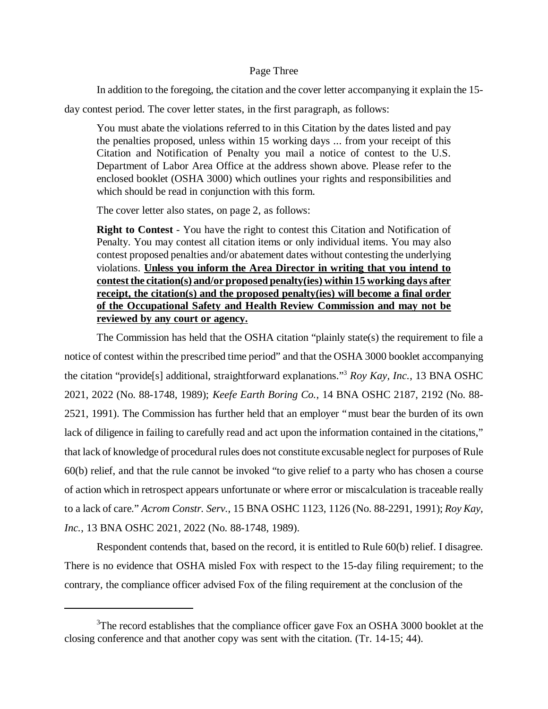## Page Three

In addition to the foregoing, the citation and the cover letter accompanying it explain the 15-

day contest period. The cover letter states, in the first paragraph, as follows:

You must abate the violations referred to in this Citation by the dates listed and pay the penalties proposed, unless within 15 working days ... from your receipt of this Citation and Notification of Penalty you mail a notice of contest to the U.S. Department of Labor Area Office at the address shown above. Please refer to the enclosed booklet (OSHA 3000) which outlines your rights and responsibilities and which should be read in conjunction with this form.

The cover letter also states, on page 2, as follows:

**Right to Contest** - You have the right to contest this Citation and Notification of Penalty. You may contest all citation items or only individual items. You may also contest proposed penalties and/or abatement dates without contesting the underlying violations. **Unless you inform the Area Director in writing that you intend to contest the citation(s) and/or proposed penalty(ies) within 15 working days after receipt, the citation(s) and the proposed penalty(ies) will become a final order of the Occupational Safety and Health Review Commission and may not be reviewed by any court or agency.**

The Commission has held that the OSHA citation "plainly state(s) the requirement to file a notice of contest within the prescribed time period" and that the OSHA 3000 booklet accompanying the citation "provide[s] additional, straightforward explanations." <sup>3</sup> *Roy Kay, Inc.*, 13 BNA OSHC 2021, 2022 (No. 88-1748, 1989); *Keefe Earth Boring Co.*, 14 BNA OSHC 2187, 2192 (No. 88- 2521, 1991). The Commission has further held that an employer "must bear the burden of its own lack of diligence in failing to carefully read and act upon the information contained in the citations," that lack of knowledge of procedural rules does not constitute excusable neglect for purposes of Rule 60(b) relief, and that the rule cannot be invoked "to give relief to a party who has chosen a course of action which in retrospect appears unfortunate or where error or miscalculation is traceable really to a lack of care." *Acrom Constr. Serv.*, 15 BNA OSHC 1123, 1126 (No. 88-2291, 1991); *Roy Kay, Inc.*, 13 BNA OSHC 2021, 2022 (No. 88-1748, 1989).

Respondent contends that, based on the record, it is entitled to Rule 60(b) relief. I disagree. There is no evidence that OSHA misled Fox with respect to the 15-day filing requirement; to the contrary, the compliance officer advised Fox of the filing requirement at the conclusion of the

<sup>&</sup>lt;sup>3</sup>The record establishes that the compliance officer gave Fox an OSHA 3000 booklet at the closing conference and that another copy was sent with the citation. (Tr. 14-15; 44).